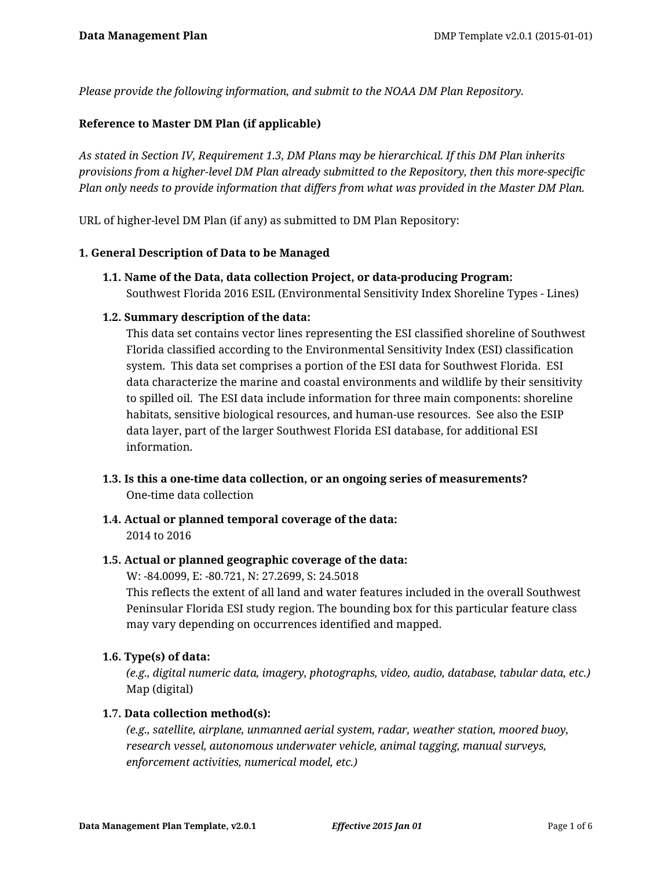*Please provide the following information, and submit to the NOAA DM Plan Repository.*

## **Reference to Master DM Plan (if applicable)**

*As stated in Section IV, Requirement 1.3, DM Plans may be hierarchical. If this DM Plan inherits provisions from a higher-level DM Plan already submitted to the Repository, then this more-specific Plan only needs to provide information that differs from what was provided in the Master DM Plan.*

URL of higher-level DM Plan (if any) as submitted to DM Plan Repository:

#### **1. General Description of Data to be Managed**

**1.1. Name of the Data, data collection Project, or data-producing Program:** Southwest Florida 2016 ESIL (Environmental Sensitivity Index Shoreline Types - Lines)

## **1.2. Summary description of the data:**

This data set contains vector lines representing the ESI classified shoreline of Southwest Florida classified according to the Environmental Sensitivity Index (ESI) classification system. This data set comprises a portion of the ESI data for Southwest Florida. ESI data characterize the marine and coastal environments and wildlife by their sensitivity to spilled oil. The ESI data include information for three main components: shoreline habitats, sensitive biological resources, and human-use resources. See also the ESIP data layer, part of the larger Southwest Florida ESI database, for additional ESI information.

- **1.3. Is this a one-time data collection, or an ongoing series of measurements?** One-time data collection
- **1.4. Actual or planned temporal coverage of the data:** 2014 to 2016

#### **1.5. Actual or planned geographic coverage of the data:**

W: -84.0099, E: -80.721, N: 27.2699, S: 24.5018

This reflects the extent of all land and water features included in the overall Southwest Peninsular Florida ESI study region. The bounding box for this particular feature class may vary depending on occurrences identified and mapped.

## **1.6. Type(s) of data:**

*(e.g., digital numeric data, imagery, photographs, video, audio, database, tabular data, etc.)* Map (digital)

#### **1.7. Data collection method(s):**

*(e.g., satellite, airplane, unmanned aerial system, radar, weather station, moored buoy, research vessel, autonomous underwater vehicle, animal tagging, manual surveys, enforcement activities, numerical model, etc.)*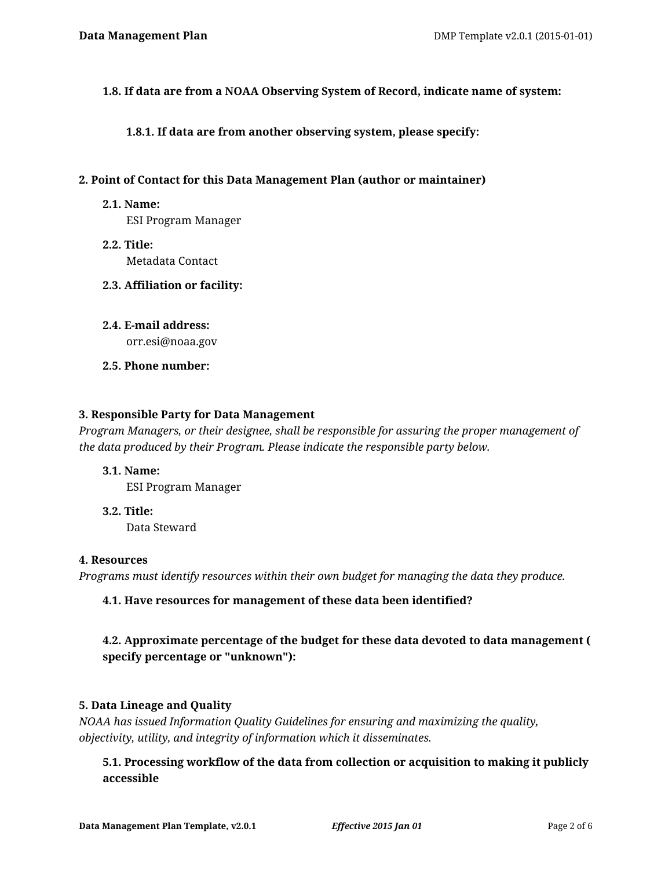**1.8. If data are from a NOAA Observing System of Record, indicate name of system:**

**1.8.1. If data are from another observing system, please specify:**

#### **2. Point of Contact for this Data Management Plan (author or maintainer)**

#### **2.1. Name:**

ESI Program Manager

- **2.2. Title:** Metadata Contact
- **2.3. Affiliation or facility:**
- **2.4. E-mail address:** orr.esi@noaa.gov
- **2.5. Phone number:**

### **3. Responsible Party for Data Management**

*Program Managers, or their designee, shall be responsible for assuring the proper management of the data produced by their Program. Please indicate the responsible party below.*

- **3.1. Name:** ESI Program Manager
- **3.2. Title:** Data Steward

#### **4. Resources**

*Programs must identify resources within their own budget for managing the data they produce.*

## **4.1. Have resources for management of these data been identified?**

# **4.2. Approximate percentage of the budget for these data devoted to data management ( specify percentage or "unknown"):**

## **5. Data Lineage and Quality**

*NOAA has issued Information Quality Guidelines for ensuring and maximizing the quality, objectivity, utility, and integrity of information which it disseminates.*

**5.1. Processing workflow of the data from collection or acquisition to making it publicly accessible**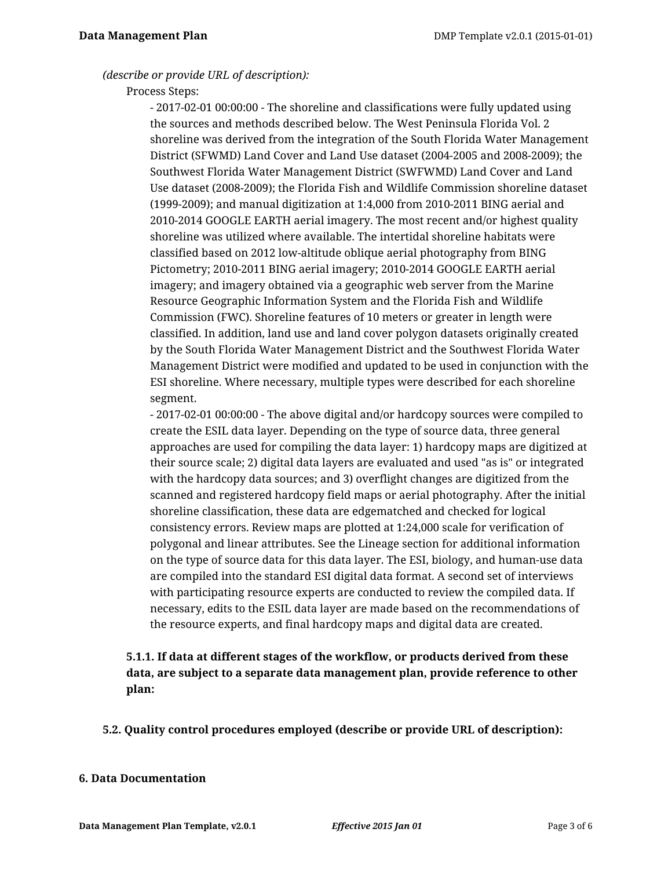#### *(describe or provide URL of description):*

#### Process Steps:

- 2017-02-01 00:00:00 - The shoreline and classifications were fully updated using the sources and methods described below. The West Peninsula Florida Vol. 2 shoreline was derived from the integration of the South Florida Water Management District (SFWMD) Land Cover and Land Use dataset (2004-2005 and 2008-2009); the Southwest Florida Water Management District (SWFWMD) Land Cover and Land Use dataset (2008-2009); the Florida Fish and Wildlife Commission shoreline dataset (1999-2009); and manual digitization at 1:4,000 from 2010-2011 BING aerial and 2010-2014 GOOGLE EARTH aerial imagery. The most recent and/or highest quality shoreline was utilized where available. The intertidal shoreline habitats were classified based on 2012 low-altitude oblique aerial photography from BING Pictometry; 2010-2011 BING aerial imagery; 2010-2014 GOOGLE EARTH aerial imagery; and imagery obtained via a geographic web server from the Marine Resource Geographic Information System and the Florida Fish and Wildlife Commission (FWC). Shoreline features of 10 meters or greater in length were classified. In addition, land use and land cover polygon datasets originally created by the South Florida Water Management District and the Southwest Florida Water Management District were modified and updated to be used in conjunction with the ESI shoreline. Where necessary, multiple types were described for each shoreline segment.

- 2017-02-01 00:00:00 - The above digital and/or hardcopy sources were compiled to create the ESIL data layer. Depending on the type of source data, three general approaches are used for compiling the data layer: 1) hardcopy maps are digitized at their source scale; 2) digital data layers are evaluated and used "as is" or integrated with the hardcopy data sources; and 3) overflight changes are digitized from the scanned and registered hardcopy field maps or aerial photography. After the initial shoreline classification, these data are edgematched and checked for logical consistency errors. Review maps are plotted at 1:24,000 scale for verification of polygonal and linear attributes. See the Lineage section for additional information on the type of source data for this data layer. The ESI, biology, and human-use data are compiled into the standard ESI digital data format. A second set of interviews with participating resource experts are conducted to review the compiled data. If necessary, edits to the ESIL data layer are made based on the recommendations of the resource experts, and final hardcopy maps and digital data are created.

# **5.1.1. If data at different stages of the workflow, or products derived from these data, are subject to a separate data management plan, provide reference to other plan:**

**5.2. Quality control procedures employed (describe or provide URL of description):**

#### **6. Data Documentation**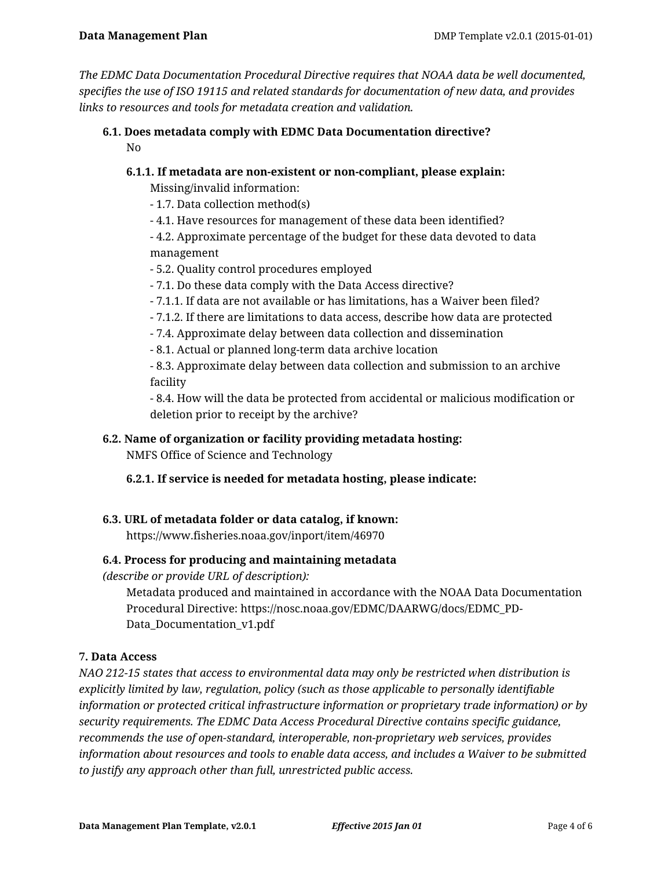*The EDMC Data Documentation Procedural Directive requires that NOAA data be well documented, specifies the use of ISO 19115 and related standards for documentation of new data, and provides links to resources and tools for metadata creation and validation.*

## **6.1. Does metadata comply with EDMC Data Documentation directive?** No

# **6.1.1. If metadata are non-existent or non-compliant, please explain:**

Missing/invalid information:

- 1.7. Data collection method(s)
- 4.1. Have resources for management of these data been identified?
- 4.2. Approximate percentage of the budget for these data devoted to data management
- 5.2. Quality control procedures employed
- 7.1. Do these data comply with the Data Access directive?
- 7.1.1. If data are not available or has limitations, has a Waiver been filed?
- 7.1.2. If there are limitations to data access, describe how data are protected
- 7.4. Approximate delay between data collection and dissemination
- 8.1. Actual or planned long-term data archive location

- 8.3. Approximate delay between data collection and submission to an archive facility

- 8.4. How will the data be protected from accidental or malicious modification or deletion prior to receipt by the archive?

## **6.2. Name of organization or facility providing metadata hosting:**

NMFS Office of Science and Technology

## **6.2.1. If service is needed for metadata hosting, please indicate:**

## **6.3. URL of metadata folder or data catalog, if known:**

https://www.fisheries.noaa.gov/inport/item/46970

## **6.4. Process for producing and maintaining metadata**

*(describe or provide URL of description):*

Metadata produced and maintained in accordance with the NOAA Data Documentation Procedural Directive: https://nosc.noaa.gov/EDMC/DAARWG/docs/EDMC\_PD-Data Documentation v1.pdf

## **7. Data Access**

*NAO 212-15 states that access to environmental data may only be restricted when distribution is explicitly limited by law, regulation, policy (such as those applicable to personally identifiable information or protected critical infrastructure information or proprietary trade information) or by security requirements. The EDMC Data Access Procedural Directive contains specific guidance, recommends the use of open-standard, interoperable, non-proprietary web services, provides information about resources and tools to enable data access, and includes a Waiver to be submitted to justify any approach other than full, unrestricted public access.*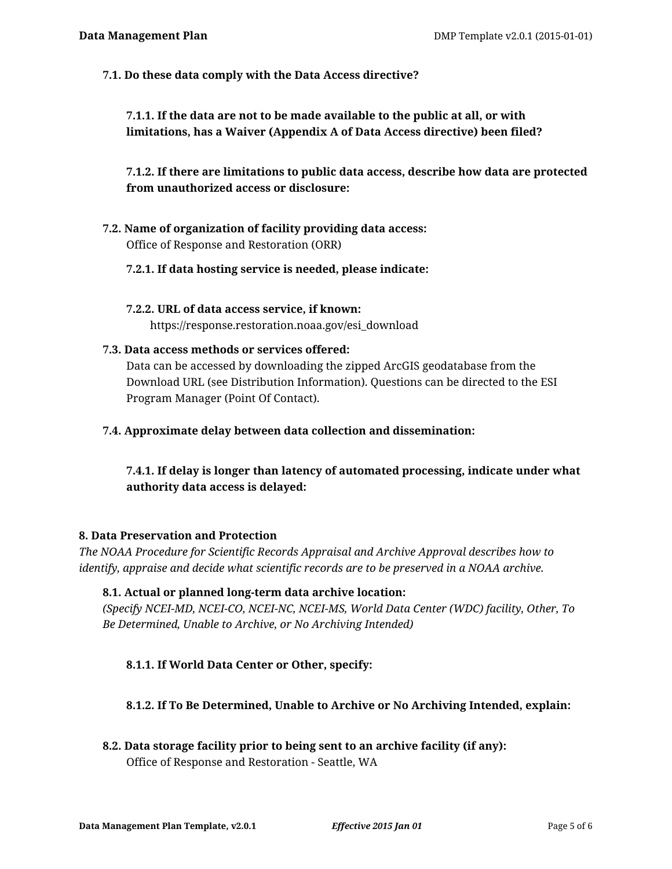**7.1. Do these data comply with the Data Access directive?**

**7.1.1. If the data are not to be made available to the public at all, or with limitations, has a Waiver (Appendix A of Data Access directive) been filed?**

**7.1.2. If there are limitations to public data access, describe how data are protected from unauthorized access or disclosure:**

- **7.2. Name of organization of facility providing data access:** Office of Response and Restoration (ORR)
	- **7.2.1. If data hosting service is needed, please indicate:**
	- **7.2.2. URL of data access service, if known:** https://response.restoration.noaa.gov/esi\_download
- **7.3. Data access methods or services offered:**

Data can be accessed by downloading the zipped ArcGIS geodatabase from the Download URL (see Distribution Information). Questions can be directed to the ESI Program Manager (Point Of Contact).

**7.4. Approximate delay between data collection and dissemination:**

**7.4.1. If delay is longer than latency of automated processing, indicate under what authority data access is delayed:**

#### **8. Data Preservation and Protection**

*The NOAA Procedure for Scientific Records Appraisal and Archive Approval describes how to identify, appraise and decide what scientific records are to be preserved in a NOAA archive.*

#### **8.1. Actual or planned long-term data archive location:**

*(Specify NCEI-MD, NCEI-CO, NCEI-NC, NCEI-MS, World Data Center (WDC) facility, Other, To Be Determined, Unable to Archive, or No Archiving Intended)*

## **8.1.1. If World Data Center or Other, specify:**

## **8.1.2. If To Be Determined, Unable to Archive or No Archiving Intended, explain:**

**8.2. Data storage facility prior to being sent to an archive facility (if any):** Office of Response and Restoration - Seattle, WA